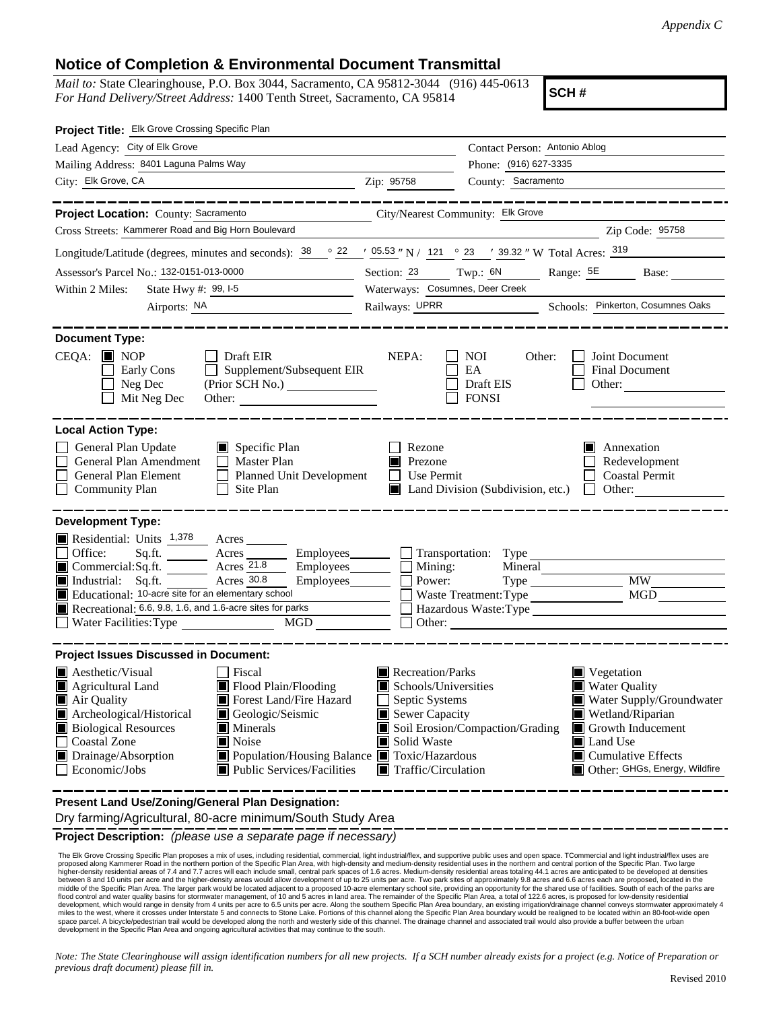## **Notice of Completion & Environmental Document Transmittal**

*Mail to:* State Clearinghouse, P.O. Box 3044, Sacramento, CA 95812-3044 (916) 445-0613 *For Hand Delivery/Street Address:* 1400 Tenth Street, Sacramento, CA 95814

**SCH #**

| Project Title: Elk Grove Crossing Specific Plan                                                                                                                                                                                                                                                                                                                                                                       |                                                                                                                                                                                                                                                                                                                                             |  |  |  |  |
|-----------------------------------------------------------------------------------------------------------------------------------------------------------------------------------------------------------------------------------------------------------------------------------------------------------------------------------------------------------------------------------------------------------------------|---------------------------------------------------------------------------------------------------------------------------------------------------------------------------------------------------------------------------------------------------------------------------------------------------------------------------------------------|--|--|--|--|
| Lead Agency: City of Elk Grove                                                                                                                                                                                                                                                                                                                                                                                        | Contact Person: Antonio Ablog                                                                                                                                                                                                                                                                                                               |  |  |  |  |
| Mailing Address: 8401 Laguna Palms Way                                                                                                                                                                                                                                                                                                                                                                                | Phone: (916) 627-3335                                                                                                                                                                                                                                                                                                                       |  |  |  |  |
| City: Elk Grove, CA                                                                                                                                                                                                                                                                                                                                                                                                   | County: Sacramento<br>Zip: 95758                                                                                                                                                                                                                                                                                                            |  |  |  |  |
|                                                                                                                                                                                                                                                                                                                                                                                                                       |                                                                                                                                                                                                                                                                                                                                             |  |  |  |  |
| Project Location: County: Sacramento                                                                                                                                                                                                                                                                                                                                                                                  | City/Nearest Community: Elk Grove                                                                                                                                                                                                                                                                                                           |  |  |  |  |
| Cross Streets: Kammerer Road and Big Horn Boulevard                                                                                                                                                                                                                                                                                                                                                                   | Zip Code: 95758                                                                                                                                                                                                                                                                                                                             |  |  |  |  |
| Longitude/Latitude (degrees, minutes and seconds): $\frac{38}{22}$ $\frac{22}{2}$ $\frac{05.53}{2}$ N / 121 ° 23 ′ 39.32 " W Total Acres: $\frac{319}{2}$                                                                                                                                                                                                                                                             |                                                                                                                                                                                                                                                                                                                                             |  |  |  |  |
| Assessor's Parcel No.: 132-0151-013-0000<br><u> 1990 - Johann Barnett, francuski politik (</u>                                                                                                                                                                                                                                                                                                                        | Section: 23 Twp.: 6N Range: 5E<br>Base:                                                                                                                                                                                                                                                                                                     |  |  |  |  |
| Within 2 Miles:<br>State Hwy #: 99, I-5                                                                                                                                                                                                                                                                                                                                                                               | Waterways: Cosumnes, Deer Creek                                                                                                                                                                                                                                                                                                             |  |  |  |  |
| Airports: NA                                                                                                                                                                                                                                                                                                                                                                                                          | Railways: UPRR Schools: Pinkerton, Cosumnes Oaks                                                                                                                                                                                                                                                                                            |  |  |  |  |
| <b>Document Type:</b><br>$CEQA: \blacksquare$ NOP<br>$\Box$ Draft EIR<br>Supplement/Subsequent EIR<br>Early Cons<br>Neg Dec<br>Mit Neg Dec<br><b>Local Action Type:</b>                                                                                                                                                                                                                                               | NEPA:<br>Joint Document<br>NOI<br>Other:<br>EA<br>Final Document<br>Draft EIS<br>Other: $\qquad \qquad$<br><b>FONSI</b>                                                                                                                                                                                                                     |  |  |  |  |
| General Plan Update<br>$\Box$ Specific Plan<br>General Plan Amendment<br>$\Box$ Master Plan<br><b>General Plan Element</b><br>Planned Unit Development<br><b>Community Plan</b><br>Site Plan<br>$\perp$                                                                                                                                                                                                               | Rezone<br>Annexation<br>Redevelopment<br>Prezone<br>Use Permit<br><b>Coastal Permit</b><br>$\mathbf{L}$<br>Land Division (Subdivision, etc.)<br>Other:<br><b>TELEVISION</b>                                                                                                                                                                 |  |  |  |  |
| <b>Development Type:</b>                                                                                                                                                                                                                                                                                                                                                                                              |                                                                                                                                                                                                                                                                                                                                             |  |  |  |  |
| Residential: Units 1,378 Acres<br>Office:<br>Commercial:Sq.ft. Acres 21.8<br>Industrial: Sq.ft. <u>Acres 30.8</u><br>Employees $\Box$<br>Educational: 10-acre site for an elementary school<br>Recreational: $6.6, 9.8, 1.6,$ and 1.6-acre sites for parks<br>$\Box$ Water Facilities: Type                                                                                                                           | Sq.ft. ________ Acres _________ Employees ________ __ Transportation: Type<br>$Employes \_\_$ $\Box$ Mining:<br><b>MW</b><br>Power:<br>Type<br><b>MGD</b><br>Waste Treatment: Type<br>Hazardous Waste:Type<br>$\Box$                                                                                                                        |  |  |  |  |
| <b>Project Issues Discussed in Document:</b>                                                                                                                                                                                                                                                                                                                                                                          |                                                                                                                                                                                                                                                                                                                                             |  |  |  |  |
| $\blacksquare$ Aesthetic/Visual<br>Fiscal<br>Flood Plain/Flooding<br>Agricultural Land<br>Forest Land/Fire Hazard<br>Air Quality<br>Archeological/Historical<br>Geologic/Seismic<br><b>Biological Resources</b><br>$\blacksquare$ Minerals<br><b>Coastal Zone</b><br>Noise<br>IЦ<br>Drainage/Absorption<br>Population/Housing Balance ■ Toxic/Hazardous<br>$\blacksquare$ Public Services/Facilities<br>Economic/Jobs | Recreation/Parks<br>Vegetation<br>Water Quality<br>Schools/Universities<br>Septic Systems<br>Water Supply/Groundwater<br>Sewer Capacity<br>Wetland/Riparian<br>Soil Erosion/Compaction/Grading<br>Growth Inducement<br>Solid Waste<br>Land Use<br>$\blacksquare$ Cumulative Effects<br>Traffic/Circulation<br>Other: GHGs, Energy, Wildfire |  |  |  |  |

**Present Land Use/Zoning/General Plan Designation:**

Dry farming/Agricultural, 80-acre minimum/South Study Area

**Project Description:** *(please use a separate page if necessary)*

 The Elk Grove Crossing Specific Plan proposes a mix of uses, including residential, commercial, light industrial/flex, and supportive public uses and open space. TCommercial and light industrial/flex uses are proposed along Kammerer Road in the northern portion of the Specific Plan Area, with high-density and medium-density residential uses in the northern and central portion of the Specific Plan. Two large<br>higher-density resid between 8 and 10 units per acre and the higher-density areas would allow development of up to 25 units per acre. Two park sites of approximately 9.8 acres and 6.6 acres each are proposed, located in the<br>middle of the Speci development, which would range in density from 4 units per acre to 6.5 units per acre. Along the southern Specific Plan Area boundary, an existing irrigation/drainage channel conveys stormwater approximately 4<br>miles to the space parcel. A bicycle/pedestrian trail would be developed along the north and westerly side of this channel. The drainage channel and associated trail would also provide a buffer between the urban development in the Specific Plan Area and ongoing agricultural activities that may continue to the south.

*Note: The State Clearinghouse will assign identification numbers for all new projects. If a SCH number already exists for a project (e.g. Notice of Preparation or previous draft document) please fill in.*